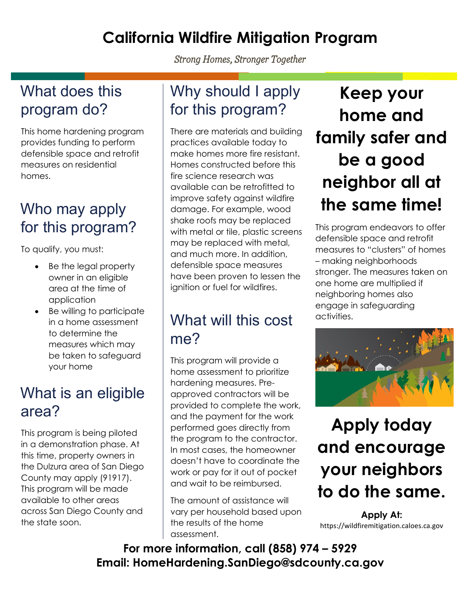### **California Wildfire Mitigation Program**

*Strong Homes, Stronger Together*

#### What does this program do?

This home hardening program provides funding to perform defensible space and retrofit measures on residential homes.

## Who may apply for this program?

To qualify, you must:

- Be the legal property owner in an eligible area at the time of application
- Be willing to participate in a home assessment to determine the measures which may be taken to safeguard your home

#### What is an eligible area?

This program is being piloted in a demonstration phase. At this time, property owners in the Dulzura area of San Diego County may apply (91917). This program will be made available to other areas across San Diego County and the state soon.

### Why should I apply for this program?

There are materials and building practices available today to make homes more fire resistant. Homes constructed before this fire science research was available can be retrofitted to improve safety against wildfire damage. For example, wood shake roofs may be replaced with metal or tile, plastic screens may be replaced with metal, and much more. In addition, defensible space measures have been proven to lessen the ignition or fuel for wildfires.

### What will this cost me?

This program will provide a home assessment to prioritize hardening measures. Preapproved contractors will be provided to complete the work, and the payment for the work performed goes directly from the program to the contractor. In most cases, the homeowner doesn't have to coordinate the work or pay for it out of pocket and wait to be reimbursed.

The amount of assistance will vary per household based upon the results of the home assessment.

## **Keep your home and family safer and be a good neighbor all at the same time!**

This program endeavors to offer defensible space and retrofit measures to "clusters" of homes – making neighborhoods stronger. The measures taken on one home are multiplied if neighboring homes also engage in safeguarding activities.



# **Apply today and encourage your neighbors to do the same.**

**Apply At:** https://wildfiremitigation.caloes.ca.gov

**For more information, call (858) 974 – 5929 Email: HomeHardening.SanDiego@sdcounty.ca.gov**